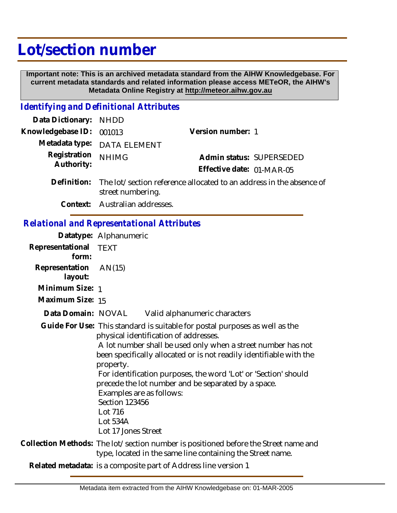## **Lot/section number**

 **Important note: This is an archived metadata standard from the AIHW Knowledgebase. For current metadata standards and related information please access METeOR, the AIHW's Metadata Online Registry at http://meteor.aihw.gov.au**

## *Identifying and Definitional Attributes*

| Data Dictionary: NHDD    |                                                                              |                           |                          |
|--------------------------|------------------------------------------------------------------------------|---------------------------|--------------------------|
| Knowledgebase ID: 001013 |                                                                              | Version number: 1         |                          |
|                          | Metadata type: DATA ELEMENT                                                  |                           |                          |
| Registration NHIMG       |                                                                              |                           | Admin status: SUPERSEDED |
| Authority:               |                                                                              | Effective date: 01-MAR-05 |                          |
|                          | Definition: The lot/section reference allocated to an address in the absence |                           |                          |

- The lot/section reference allocated to an address in the absence of street numbering. **Definition:**
	- **Context:** Australian addresses.

## *Relational and Representational Attributes*

|                                | Datatype: Alphanumeric                                                                                                                            |                                                                                                                                                                                                                                                                                                                                                                                       |  |
|--------------------------------|---------------------------------------------------------------------------------------------------------------------------------------------------|---------------------------------------------------------------------------------------------------------------------------------------------------------------------------------------------------------------------------------------------------------------------------------------------------------------------------------------------------------------------------------------|--|
| Representational TEXT<br>form: |                                                                                                                                                   |                                                                                                                                                                                                                                                                                                                                                                                       |  |
| Representation<br>layout:      | AN(15)                                                                                                                                            |                                                                                                                                                                                                                                                                                                                                                                                       |  |
| Minimum Size: 1                |                                                                                                                                                   |                                                                                                                                                                                                                                                                                                                                                                                       |  |
| Maximum Size: 15               |                                                                                                                                                   |                                                                                                                                                                                                                                                                                                                                                                                       |  |
| Data Domain: NOVAL             |                                                                                                                                                   | Valid alphanumeric characters                                                                                                                                                                                                                                                                                                                                                         |  |
|                                | property.<br>Examples are as follows:<br><b>Section 123456</b><br>Lot 716<br>Lot 534A<br>Lot 17 Jones Street                                      | Guide For Use: This standard is suitable for postal purposes as well as the<br>physical identification of addresses.<br>A lot number shall be used only when a street number has not<br>been specifically allocated or is not readily identifiable with the<br>For identification purposes, the word 'Lot' or 'Section' should<br>precede the lot number and be separated by a space. |  |
|                                | Collection Methods: The lot/section number is positioned before the Street name and<br>type, located in the same line containing the Street name. |                                                                                                                                                                                                                                                                                                                                                                                       |  |
|                                |                                                                                                                                                   |                                                                                                                                                                                                                                                                                                                                                                                       |  |

**Related metadata:** is a composite part of Address line version 1